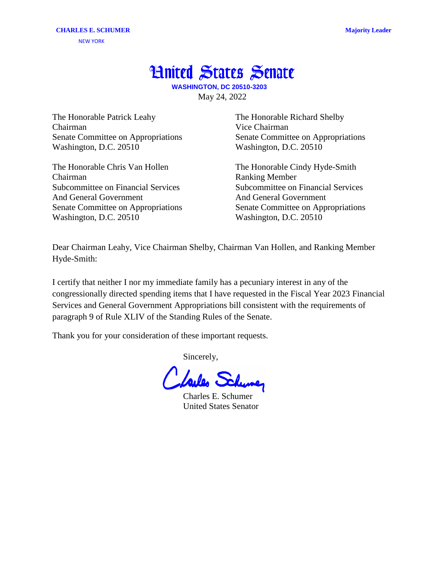## **Hnited States Senate**

**WASHINGTON, DC 20510-3203** May 24, 2022

The Honorable Patrick Leahy Chairman Senate Committee on Appropriations Washington, D.C. 20510

The Honorable Chris Van Hollen Chairman Subcommittee on Financial Services And General Government Senate Committee on Appropriations Washington, D.C. 20510

The Honorable Richard Shelby Vice Chairman Senate Committee on Appropriations Washington, D.C. 20510

The Honorable Cindy Hyde-Smith Ranking Member Subcommittee on Financial Services And General Government Senate Committee on Appropriations Washington, D.C. 20510

Dear Chairman Leahy, Vice Chairman Shelby, Chairman Van Hollen, and Ranking Member Hyde-Smith:

I certify that neither I nor my immediate family has a pecuniary interest in any of the congressionally directed spending items that I have requested in the Fiscal Year 2023 Financial Services and General Government Appropriations bill consistent with the requirements of paragraph 9 of Rule XLIV of the Standing Rules of the Senate.

Thank you for your consideration of these important requests.

Sincerely,

Loules Sch

Charles E. Schumer United States Senator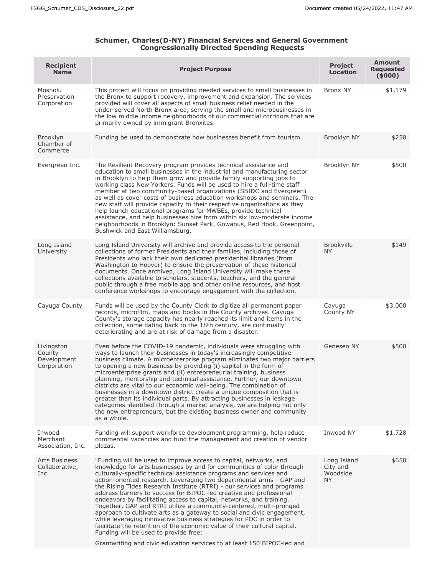## **Schumer, Charles(D-NY) Financial Services and General Government Congressionally Directed Spending Requests**

| <b>Recipient</b><br><b>Name</b>                    | <b>Project Purpose</b>                                                                                                                                                                                                                                                                                                                                                                                                                                                                                                                                                                                                                                                                                                                                                                                                                                                                                                                     | <b>Project</b><br><b>Location</b>          | Amount<br><b>Requested</b><br>(5000) |
|----------------------------------------------------|--------------------------------------------------------------------------------------------------------------------------------------------------------------------------------------------------------------------------------------------------------------------------------------------------------------------------------------------------------------------------------------------------------------------------------------------------------------------------------------------------------------------------------------------------------------------------------------------------------------------------------------------------------------------------------------------------------------------------------------------------------------------------------------------------------------------------------------------------------------------------------------------------------------------------------------------|--------------------------------------------|--------------------------------------|
| Mosholu<br>Preservation<br>Corporation             | This project will focus on providing needed services to small businesses in<br>the Bronx to support recovery, improvement and expansion. The services<br>provided will cover all aspects of small business relief needed in the<br>under-served North Bronx area, serving the small and microbusinesses in<br>the low middle income neighborhoods of our commercial corridors that are<br>primarily owned by immigrant Bronxites.                                                                                                                                                                                                                                                                                                                                                                                                                                                                                                          | Bronx NY                                   | \$1,179                              |
| Brooklyn<br>Chamber of<br>Commerce                 | Funding be used to demonstrate how businesses benefit from tourism.                                                                                                                                                                                                                                                                                                                                                                                                                                                                                                                                                                                                                                                                                                                                                                                                                                                                        | Brooklyn NY                                | \$250                                |
| Evergreen Inc.                                     | The Resilient Recovery program provides technical assistance and<br>education to small businesses in the industrial and manufacturing sector<br>in Brooklyn to help them grow and provide family supporting jobs to<br>working class New Yorkers. Funds will be used to hire a full-time staff<br>member at two community-based organizations (SBIDC and Evergreen)<br>as well as cover costs of business education workshops and seminars. The<br>new staff will provide capacity to their respective organizations as they<br>help launch educational programs for MWBEs, provide technical<br>assistance, and help businesses hire from within six low-moderate income<br>neighborhoods in Brooklyn: Sunset Park, Gowanus, Red Hook, Greenpoint,<br>Bushwick and East Williamsburg.                                                                                                                                                     | Brooklyn NY                                | \$500                                |
| Long Island<br>University                          | Long Island University will archive and provide access to the personal<br>collections of former Presidents and their families, including those of<br>Presidents who lack their own dedicated presidential libraries (from<br>Washington to Hoover) to ensure the preservation of these historical<br>documents. Once archived, Long Island University will make these<br>collections available to scholars, students, teachers, and the general<br>public through a free mobile app and other online resources, and host<br>conference workshops to encourage engagement with the collection.                                                                                                                                                                                                                                                                                                                                              | <b>Brookville</b><br><b>NY</b>             | \$149                                |
| Cayuga County                                      | Funds will be used by the County Clerk to digitize all permanent paper<br>records, microfilm, maps and books in the County archives. Cayuga<br>County's storage capacity has nearly reached its limit and items in the<br>collection, some dating back to the 18th century, are continually<br>deteriorating and are at risk of damage from a disaster.                                                                                                                                                                                                                                                                                                                                                                                                                                                                                                                                                                                    | Cayuga<br>County NY                        | \$3,000                              |
| Livingston<br>County<br>Development<br>Corporation | Even before the COVID-19 pandemic, individuals were struggling with<br>ways to launch their businesses in today's increasingly competitive<br>business climate. A microenterprise program eliminates two major barriers<br>to opening a new business by providing (i) capital in the form of<br>microenterprise grants and (ii) entrepreneurial training, business<br>planning, mentorship and technical assistance. Further, our downtown<br>districts are vital to our economic well-being. The combination of<br>businesses in a downtown district create a unique composition that is<br>greater than its individual parts. By attracting businesses in leakage<br>categories identified through a market analysis, we are helping not only<br>the new entrepreneurs, but the existing business owner and community<br>as a whole.                                                                                                     | Geneseo NY                                 | \$500                                |
| Inwood<br>Merchant<br>Association, Inc.            | Funding will support workforce development programming, help reduce<br>commercial vacancies and fund the management and creation of vendor<br>plazas.                                                                                                                                                                                                                                                                                                                                                                                                                                                                                                                                                                                                                                                                                                                                                                                      | Inwood NY                                  | \$1,728                              |
| <b>Arts Business</b><br>Collaborative,<br>Inc.     | "Funding will be used to improve access to capital, networks, and<br>knowledge for arts businesses by and for communities of color through<br>culturally-specific technical assistance programs and services and<br>action-oriented research. Leveraging two departmental arms - GAP and<br>the Rising Tides Research Institute (RTRI) - our services and programs<br>address barriers to success for BIPOC-led creative and professional<br>endeavors by facilitating access to capital, networks, and training.<br>Together, GAP and RTRI utilize a community-centered, multi-pronged<br>approach to cultivate arts as a gateway to social and civic engagement,<br>while leveraging innovative business strategies for POC in order to<br>facilitate the retention of the economic value of their cultural capital.<br>Funding will be used to provide free:<br>Grantwriting and civic education services to at least 150 BIPOC-led and | Long Island<br>City and<br>Woodside<br>NY. | \$650                                |